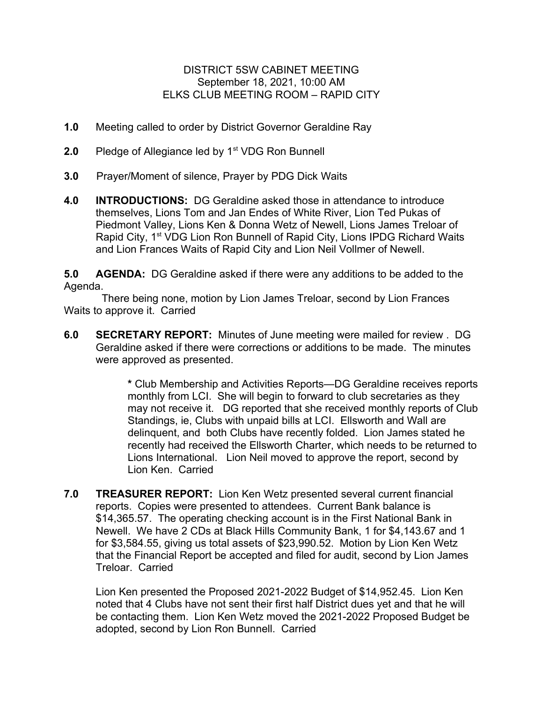# DISTRICT 5SW CABINET MEETING September 18, 2021, 10:00 AM ELKS CLUB MEETING ROOM – RAPID CITY

- **1.0** Meeting called to order by District Governor Geraldine Ray
- **2.0** Pledge of Allegiance led by 1<sup>st</sup> VDG Ron Bunnell
- **3.0** Prayer/Moment of silence, Prayer by PDG Dick Waits
- **4.0 INTRODUCTIONS:** DG Geraldine asked those in attendance to introduce themselves, Lions Tom and Jan Endes of White River, Lion Ted Pukas of Piedmont Valley, Lions Ken & Donna Wetz of Newell, Lions James Treloar of Rapid City, 1<sup>st</sup> VDG Lion Ron Bunnell of Rapid City, Lions IPDG Richard Waits and Lion Frances Waits of Rapid City and Lion Neil Vollmer of Newell.

**5.0 AGENDA:** DG Geraldine asked if there were any additions to be added to the Agenda.

 There being none, motion by Lion James Treloar, second by Lion Frances Waits to approve it. Carried

**6.0 SECRETARY REPORT:** Minutes of June meeting were mailed for review . DG Geraldine asked if there were corrections or additions to be made. The minutes were approved as presented.

> **\*** Club Membership and Activities Reports—DG Geraldine receives reports monthly from LCI. She will begin to forward to club secretaries as they may not receive it. DG reported that she received monthly reports of Club Standings, ie, Clubs with unpaid bills at LCI. Ellsworth and Wall are delinquent, and both Clubs have recently folded. Lion James stated he recently had received the Ellsworth Charter, which needs to be returned to Lions International. Lion Neil moved to approve the report, second by Lion Ken. Carried

**7.0 TREASURER REPORT:** Lion Ken Wetz presented several current financial reports. Copies were presented to attendees. Current Bank balance is \$14,365.57. The operating checking account is in the First National Bank in Newell. We have 2 CDs at Black Hills Community Bank, 1 for \$4,143.67 and 1 for \$3,584.55, giving us total assets of \$23,990.52. Motion by Lion Ken Wetz that the Financial Report be accepted and filed for audit, second by Lion James Treloar. Carried

Lion Ken presented the Proposed 2021-2022 Budget of \$14,952.45. Lion Ken noted that 4 Clubs have not sent their first half District dues yet and that he will be contacting them. Lion Ken Wetz moved the 2021-2022 Proposed Budget be adopted, second by Lion Ron Bunnell. Carried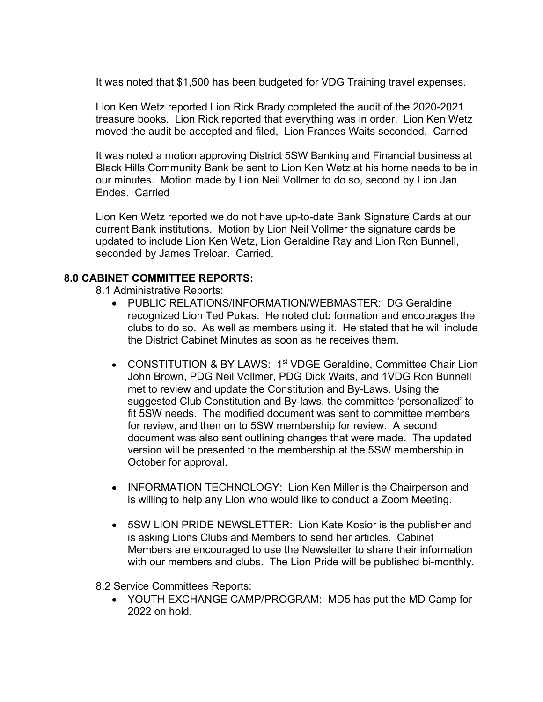It was noted that \$1,500 has been budgeted for VDG Training travel expenses.

Lion Ken Wetz reported Lion Rick Brady completed the audit of the 2020-2021 treasure books. Lion Rick reported that everything was in order. Lion Ken Wetz moved the audit be accepted and filed, Lion Frances Waits seconded. Carried

It was noted a motion approving District 5SW Banking and Financial business at Black Hills Community Bank be sent to Lion Ken Wetz at his home needs to be in our minutes. Motion made by Lion Neil Vollmer to do so, second by Lion Jan Endes. Carried

Lion Ken Wetz reported we do not have up-to-date Bank Signature Cards at our current Bank institutions. Motion by Lion Neil Vollmer the signature cards be updated to include Lion Ken Wetz, Lion Geraldine Ray and Lion Ron Bunnell, seconded by James Treloar. Carried.

### **8.0 CABINET COMMITTEE REPORTS:**

- 8.1 Administrative Reports:
	- PUBLIC RELATIONS/INFORMATION/WEBMASTER: DG Geraldine recognized Lion Ted Pukas. He noted club formation and encourages the clubs to do so. As well as members using it. He stated that he will include the District Cabinet Minutes as soon as he receives them.
	- CONSTITUTION & BY LAWS: 1<sup>st</sup> VDGE Geraldine, Committee Chair Lion John Brown, PDG Neil Vollmer, PDG Dick Waits, and 1VDG Ron Bunnell met to review and update the Constitution and By-Laws. Using the suggested Club Constitution and By-laws, the committee 'personalized' to fit 5SW needs. The modified document was sent to committee members for review, and then on to 5SW membership for review. A second document was also sent outlining changes that were made. The updated version will be presented to the membership at the 5SW membership in October for approval.
	- INFORMATION TECHNOLOGY: Lion Ken Miller is the Chairperson and is willing to help any Lion who would like to conduct a Zoom Meeting.
	- 5SW LION PRIDE NEWSLETTER: Lion Kate Kosior is the publisher and is asking Lions Clubs and Members to send her articles. Cabinet Members are encouraged to use the Newsletter to share their information with our members and clubs. The Lion Pride will be published bi-monthly.

8.2 Service Committees Reports:

 YOUTH EXCHANGE CAMP/PROGRAM: MD5 has put the MD Camp for 2022 on hold.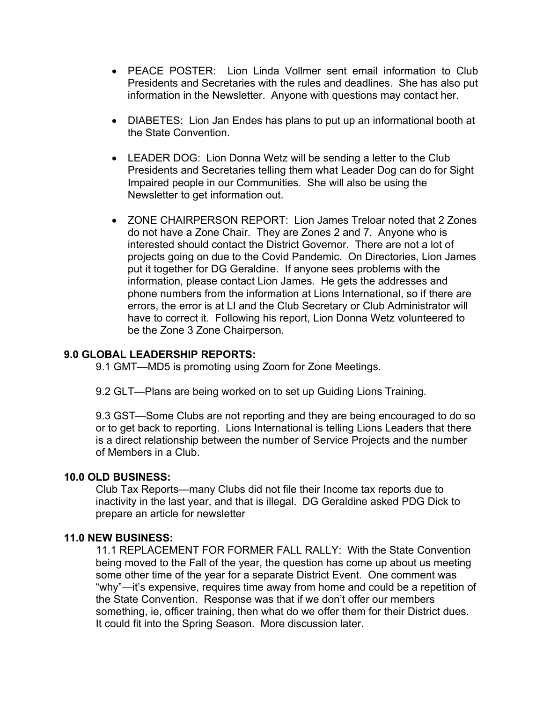- PEACE POSTER: Lion Linda Vollmer sent email information to Club Presidents and Secretaries with the rules and deadlines. She has also put information in the Newsletter. Anyone with questions may contact her.
- DIABETES: Lion Jan Endes has plans to put up an informational booth at the State Convention.
- LEADER DOG: Lion Donna Wetz will be sending a letter to the Club Presidents and Secretaries telling them what Leader Dog can do for Sight Impaired people in our Communities. She will also be using the Newsletter to get information out.
- ZONE CHAIRPERSON REPORT: Lion James Treloar noted that 2 Zones do not have a Zone Chair. They are Zones 2 and 7. Anyone who is interested should contact the District Governor. There are not a lot of projects going on due to the Covid Pandemic. On Directories, Lion James put it together for DG Geraldine. If anyone sees problems with the information, please contact Lion James. He gets the addresses and phone numbers from the information at Lions International, so if there are errors, the error is at LI and the Club Secretary or Club Administrator will have to correct it. Following his report, Lion Donna Wetz volunteered to be the Zone 3 Zone Chairperson.

# **9.0 GLOBAL LEADERSHIP REPORTS:**

9.1 GMT—MD5 is promoting using Zoom for Zone Meetings.

9.2 GLT—Plans are being worked on to set up Guiding Lions Training.

9.3 GST—Some Clubs are not reporting and they are being encouraged to do so or to get back to reporting. Lions International is telling Lions Leaders that there is a direct relationship between the number of Service Projects and the number of Members in a Club.

### **10.0 OLD BUSINESS:**

Club Tax Reports—many Clubs did not file their Income tax reports due to inactivity in the last year, and that is illegal. DG Geraldine asked PDG Dick to prepare an article for newsletter

#### **11.0 NEW BUSINESS:**

11.1 REPLACEMENT FOR FORMER FALL RALLY: With the State Convention being moved to the Fall of the year, the question has come up about us meeting some other time of the year for a separate District Event. One comment was "why"—it's expensive, requires time away from home and could be a repetition of the State Convention. Response was that if we don't offer our members something, ie, officer training, then what do we offer them for their District dues. It could fit into the Spring Season. More discussion later.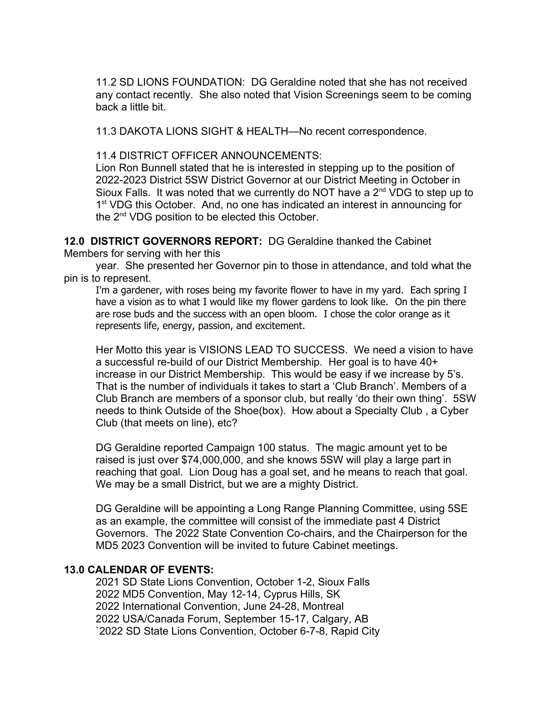11.2 SD LIONS FOUNDATION: DG Geraldine noted that she has not received any contact recently. She also noted that Vision Screenings seem to be coming back a little bit.

11.3 DAKOTA LIONS SIGHT & HEALTH—No recent correspondence.

11.4 DISTRICT OFFICER ANNOUNCEMENTS:

Lion Ron Bunnell stated that he is interested in stepping up to the position of 2022-2023 District 5SW District Governor at our District Meeting in October in Sioux Falls. It was noted that we currently do NOT have a  $2<sup>nd</sup>$  VDG to step up to 1<sup>st</sup> VDG this October. And, no one has indicated an interest in announcing for the 2<sup>nd</sup> VDG position to be elected this October.

**12.0 DISTRICT GOVERNORS REPORT:** DG Geraldine thanked the Cabinet

Members for serving with her this

year. She presented her Governor pin to those in attendance, and told what the pin is to represent.

I'm a gardener, with roses being my favorite flower to have in my yard. Each spring I have a vision as to what I would like my flower gardens to look like. On the pin there are rose buds and the success with an open bloom. I chose the color orange as it represents life, energy, passion, and excitement.

Her Motto this year is VISIONS LEAD TO SUCCESS. We need a vision to have a successful re-build of our District Membership. Her goal is to have 40+ increase in our District Membership. This would be easy if we increase by 5's. That is the number of individuals it takes to start a 'Club Branch'. Members of a Club Branch are members of a sponsor club, but really 'do their own thing'. 5SW needs to think Outside of the Shoe(box). How about a Specialty Club , a Cyber Club (that meets on line), etc?

DG Geraldine reported Campaign 100 status. The magic amount yet to be raised is just over \$74,000,000, and she knows 5SW will play a large part in reaching that goal. Lion Doug has a goal set, and he means to reach that goal. We may be a small District, but we are a mighty District.

DG Geraldine will be appointing a Long Range Planning Committee, using 5SE as an example, the committee will consist of the immediate past 4 District Governors. The 2022 State Convention Co-chairs, and the Chairperson for the MD5 2023 Convention will be invited to future Cabinet meetings.

#### **13.0 CALENDAR OF EVENTS:**

2021 SD State Lions Convention, October 1-2, Sioux Falls 2022 MD5 Convention, May 12-14, Cyprus Hills, SK 2022 International Convention, June 24-28, Montreal 2022 USA/Canada Forum, September 15-17, Calgary, AB `2022 SD State Lions Convention, October 6-7-8, Rapid City